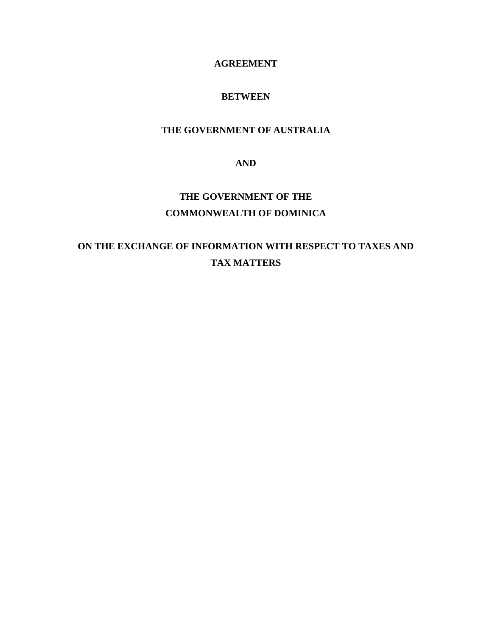# **AGREEMENT**

# **BETWEEN**

# **THE GOVERNMENT OF AUSTRALIA**

**AND** 

# **THE GOVERNMENT OF THE COMMONWEALTH OF DOMINICA**

# **ON THE EXCHANGE OF INFORMATION WITH RESPECT TO TAXES AND TAX MATTERS**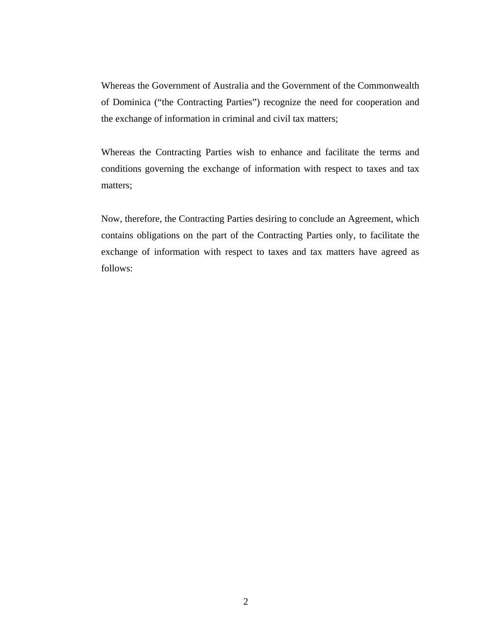Whereas the Government of Australia and the Government of the Commonwealth of Dominica ("the Contracting Parties") recognize the need for cooperation and the exchange of information in criminal and civil tax matters;

Whereas the Contracting Parties wish to enhance and facilitate the terms and conditions governing the exchange of information with respect to taxes and tax matters;

Now, therefore, the Contracting Parties desiring to conclude an Agreement, which contains obligations on the part of the Contracting Parties only, to facilitate the exchange of information with respect to taxes and tax matters have agreed as follows: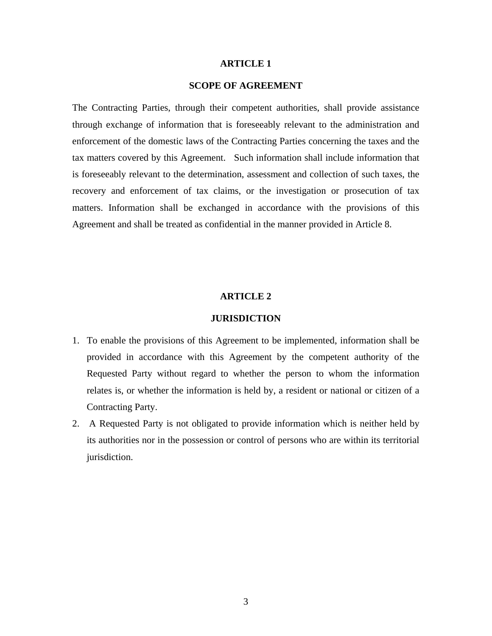# **SCOPE OF AGREEMENT**

The Contracting Parties, through their competent authorities, shall provide assistance through exchange of information that is foreseeably relevant to the administration and enforcement of the domestic laws of the Contracting Parties concerning the taxes and the tax matters covered by this Agreement. Such information shall include information that is foreseeably relevant to the determination, assessment and collection of such taxes, the recovery and enforcement of tax claims, or the investigation or prosecution of tax matters. Information shall be exchanged in accordance with the provisions of this Agreement and shall be treated as confidential in the manner provided in Article 8.

# **ARTICLE 2**

## **JURISDICTION**

- 1. To enable the provisions of this Agreement to be implemented, information shall be provided in accordance with this Agreement by the competent authority of the Requested Party without regard to whether the person to whom the information relates is, or whether the information is held by, a resident or national or citizen of a Contracting Party.
- 2. A Requested Party is not obligated to provide information which is neither held by its authorities nor in the possession or control of persons who are within its territorial jurisdiction.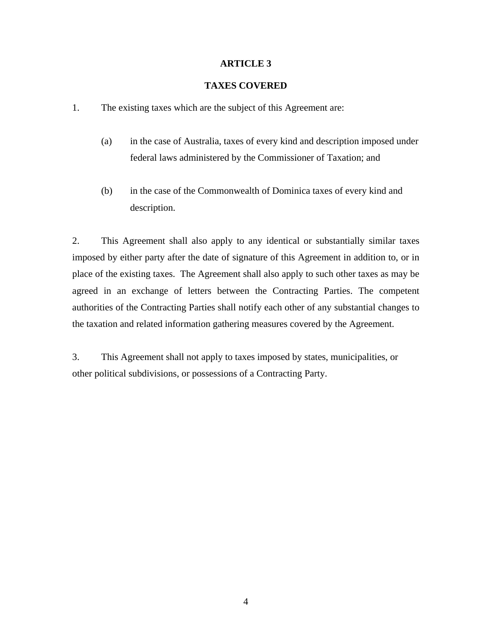# **TAXES COVERED**

- 1. The existing taxes which are the subject of this Agreement are:
	- (a) in the case of Australia, taxes of every kind and description imposed under federal laws administered by the Commissioner of Taxation; and
	- (b) in the case of the Commonwealth of Dominica taxes of every kind and description.

2. This Agreement shall also apply to any identical or substantially similar taxes imposed by either party after the date of signature of this Agreement in addition to, or in place of the existing taxes. The Agreement shall also apply to such other taxes as may be agreed in an exchange of letters between the Contracting Parties. The competent authorities of the Contracting Parties shall notify each other of any substantial changes to the taxation and related information gathering measures covered by the Agreement.

3. This Agreement shall not apply to taxes imposed by states, municipalities, or other political subdivisions, or possessions of a Contracting Party.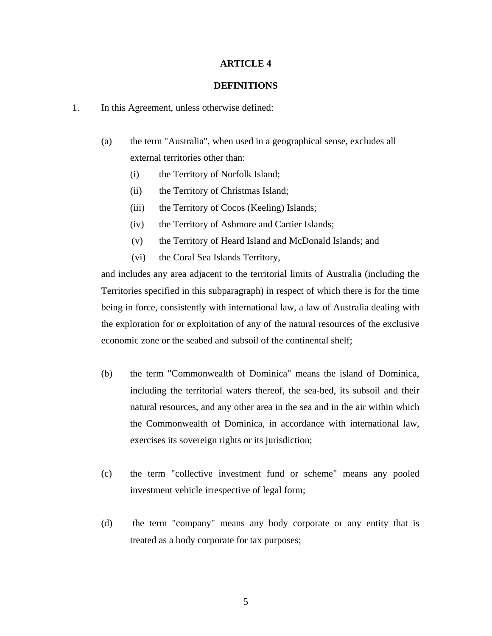#### **DEFINITIONS**

- 1. In this Agreement, unless otherwise defined:
	- (a) the term "Australia", when used in a geographical sense, excludes all external territories other than:
		- (i) the Territory of Norfolk Island;
		- (ii) the Territory of Christmas Island;
		- (iii) the Territory of Cocos (Keeling) Islands;
		- (iv) the Territory of Ashmore and Cartier Islands;
		- (v) the Territory of Heard Island and McDonald Islands; and
		- (vi) the Coral Sea Islands Territory,

and includes any area adjacent to the territorial limits of Australia (including the Territories specified in this subparagraph) in respect of which there is for the time being in force, consistently with international law, a law of Australia dealing with the exploration for or exploitation of any of the natural resources of the exclusive economic zone or the seabed and subsoil of the continental shelf;

- (b) the term "Commonwealth of Dominica" means the island of Dominica, including the territorial waters thereof, the sea-bed, its subsoil and their natural resources, and any other area in the sea and in the air within which the Commonwealth of Dominica, in accordance with international law, exercises its sovereign rights or its jurisdiction;
- (c) the term "collective investment fund or scheme" means any pooled investment vehicle irrespective of legal form;
- (d) the term "company" means any body corporate or any entity that is treated as a body corporate for tax purposes;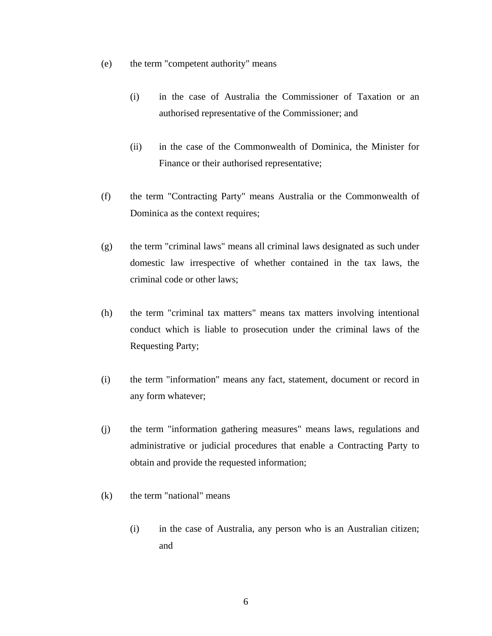- (e) the term "competent authority" means
	- (i) in the case of Australia the Commissioner of Taxation or an authorised representative of the Commissioner; and
	- (ii) in the case of the Commonwealth of Dominica, the Minister for Finance or their authorised representative;
- (f) the term "Contracting Party" means Australia or the Commonwealth of Dominica as the context requires;
- (g) the term "criminal laws" means all criminal laws designated as such under domestic law irrespective of whether contained in the tax laws, the criminal code or other laws;
- (h) the term "criminal tax matters" means tax matters involving intentional conduct which is liable to prosecution under the criminal laws of the Requesting Party;
- (i) the term "information" means any fact, statement, document or record in any form whatever;
- (j) the term "information gathering measures" means laws, regulations and administrative or judicial procedures that enable a Contracting Party to obtain and provide the requested information;
- (k) the term "national" means
	- (i) in the case of Australia, any person who is an Australian citizen; and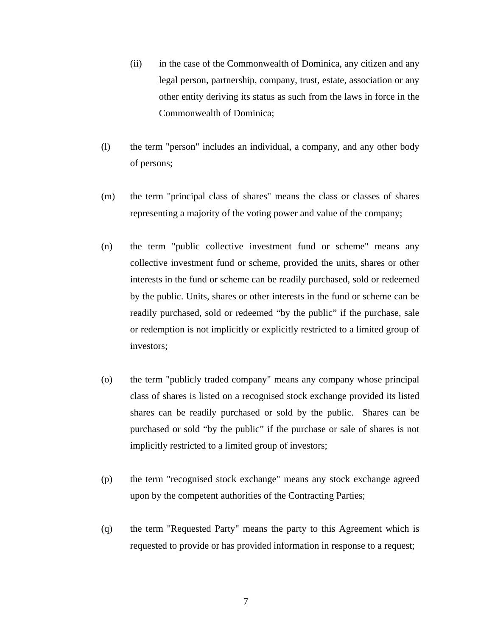- (ii) in the case of the Commonwealth of Dominica, any citizen and any legal person, partnership, company, trust, estate, association or any other entity deriving its status as such from the laws in force in the Commonwealth of Dominica;
- (l) the term "person" includes an individual, a company, and any other body of persons;
- (m) the term "principal class of shares" means the class or classes of shares representing a majority of the voting power and value of the company;
- (n) the term "public collective investment fund or scheme" means any collective investment fund or scheme, provided the units, shares or other interests in the fund or scheme can be readily purchased, sold or redeemed by the public. Units, shares or other interests in the fund or scheme can be readily purchased, sold or redeemed "by the public" if the purchase, sale or redemption is not implicitly or explicitly restricted to a limited group of investors;
- (o) the term "publicly traded company" means any company whose principal class of shares is listed on a recognised stock exchange provided its listed shares can be readily purchased or sold by the public. Shares can be purchased or sold "by the public" if the purchase or sale of shares is not implicitly restricted to a limited group of investors;
- (p) the term "recognised stock exchange" means any stock exchange agreed upon by the competent authorities of the Contracting Parties;
- (q) the term "Requested Party" means the party to this Agreement which is requested to provide or has provided information in response to a request;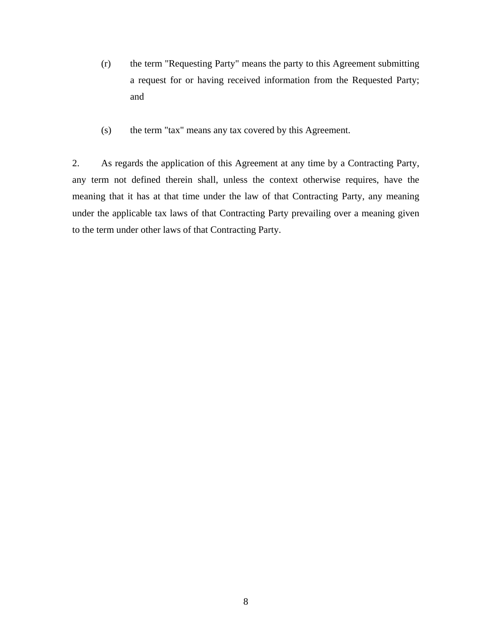- (r) the term "Requesting Party" means the party to this Agreement submitting a request for or having received information from the Requested Party; and
- (s) the term "tax" means any tax covered by this Agreement.

2. As regards the application of this Agreement at any time by a Contracting Party, any term not defined therein shall, unless the context otherwise requires, have the meaning that it has at that time under the law of that Contracting Party, any meaning under the applicable tax laws of that Contracting Party prevailing over a meaning given to the term under other laws of that Contracting Party.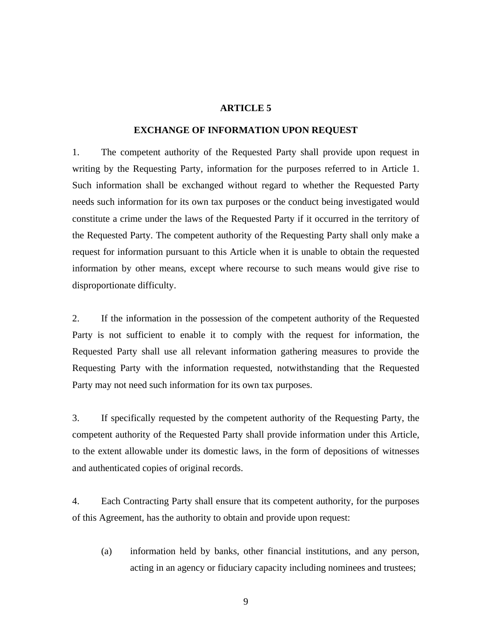#### **EXCHANGE OF INFORMATION UPON REQUEST**

1. The competent authority of the Requested Party shall provide upon request in writing by the Requesting Party, information for the purposes referred to in Article 1. Such information shall be exchanged without regard to whether the Requested Party needs such information for its own tax purposes or the conduct being investigated would constitute a crime under the laws of the Requested Party if it occurred in the territory of the Requested Party. The competent authority of the Requesting Party shall only make a request for information pursuant to this Article when it is unable to obtain the requested information by other means, except where recourse to such means would give rise to disproportionate difficulty.

2. If the information in the possession of the competent authority of the Requested Party is not sufficient to enable it to comply with the request for information, the Requested Party shall use all relevant information gathering measures to provide the Requesting Party with the information requested, notwithstanding that the Requested Party may not need such information for its own tax purposes.

3. If specifically requested by the competent authority of the Requesting Party, the competent authority of the Requested Party shall provide information under this Article, to the extent allowable under its domestic laws, in the form of depositions of witnesses and authenticated copies of original records.

4. Each Contracting Party shall ensure that its competent authority, for the purposes of this Agreement, has the authority to obtain and provide upon request:

(a) information held by banks, other financial institutions, and any person, acting in an agency or fiduciary capacity including nominees and trustees;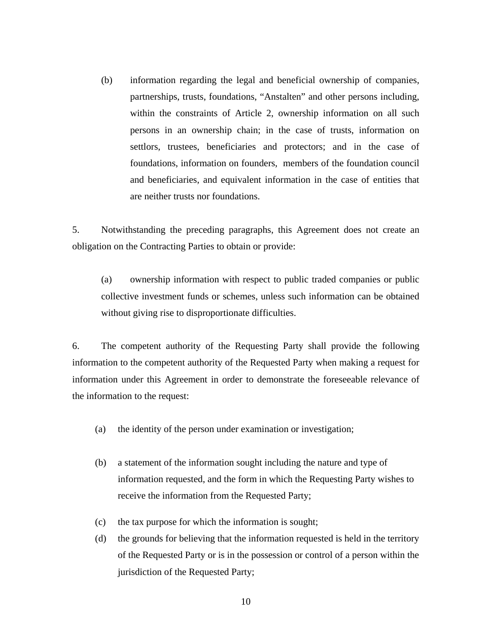(b) information regarding the legal and beneficial ownership of companies, partnerships, trusts, foundations, "Anstalten" and other persons including, within the constraints of Article 2, ownership information on all such persons in an ownership chain; in the case of trusts, information on settlors, trustees, beneficiaries and protectors; and in the case of foundations, information on founders, members of the foundation council and beneficiaries, and equivalent information in the case of entities that are neither trusts nor foundations.

5. Notwithstanding the preceding paragraphs, this Agreement does not create an obligation on the Contracting Parties to obtain or provide:

(a) ownership information with respect to public traded companies or public collective investment funds or schemes, unless such information can be obtained without giving rise to disproportionate difficulties.

6. The competent authority of the Requesting Party shall provide the following information to the competent authority of the Requested Party when making a request for information under this Agreement in order to demonstrate the foreseeable relevance of the information to the request:

- (a) the identity of the person under examination or investigation;
- (b) a statement of the information sought including the nature and type of information requested, and the form in which the Requesting Party wishes to receive the information from the Requested Party;
- (c) the tax purpose for which the information is sought;
- (d) the grounds for believing that the information requested is held in the territory of the Requested Party or is in the possession or control of a person within the jurisdiction of the Requested Party;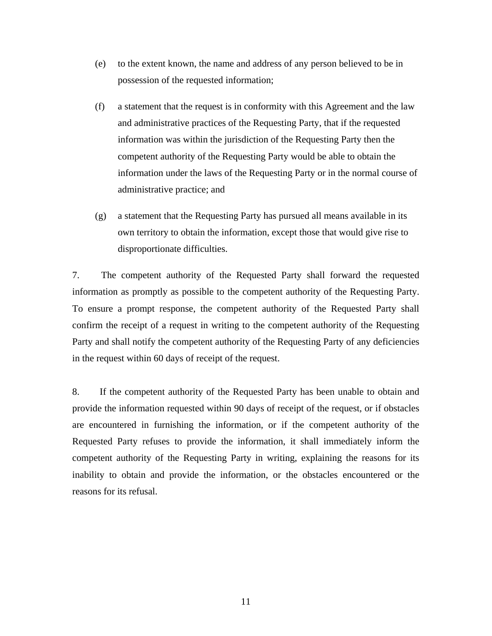- (e) to the extent known, the name and address of any person believed to be in possession of the requested information;
- (f) a statement that the request is in conformity with this Agreement and the law and administrative practices of the Requesting Party, that if the requested information was within the jurisdiction of the Requesting Party then the competent authority of the Requesting Party would be able to obtain the information under the laws of the Requesting Party or in the normal course of administrative practice; and
- (g) a statement that the Requesting Party has pursued all means available in its own territory to obtain the information, except those that would give rise to disproportionate difficulties.

7. The competent authority of the Requested Party shall forward the requested information as promptly as possible to the competent authority of the Requesting Party. To ensure a prompt response, the competent authority of the Requested Party shall confirm the receipt of a request in writing to the competent authority of the Requesting Party and shall notify the competent authority of the Requesting Party of any deficiencies in the request within 60 days of receipt of the request.

8. If the competent authority of the Requested Party has been unable to obtain and provide the information requested within 90 days of receipt of the request, or if obstacles are encountered in furnishing the information, or if the competent authority of the Requested Party refuses to provide the information, it shall immediately inform the competent authority of the Requesting Party in writing, explaining the reasons for its inability to obtain and provide the information, or the obstacles encountered or the reasons for its refusal.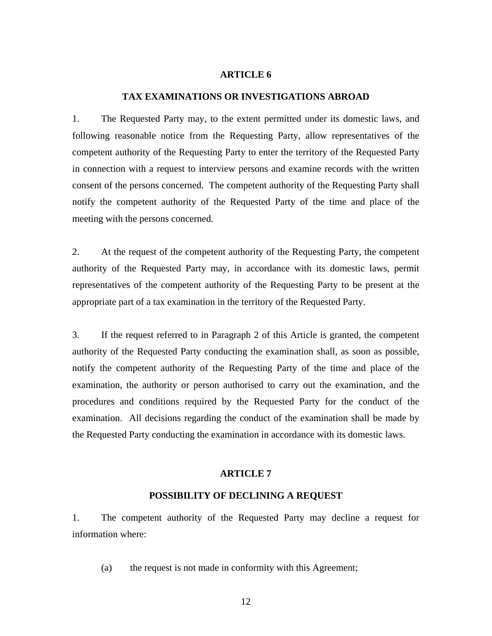#### **TAX EXAMINATIONS OR INVESTIGATIONS ABROAD**

1. The Requested Party may, to the extent permitted under its domestic laws, and following reasonable notice from the Requesting Party, allow representatives of the competent authority of the Requesting Party to enter the territory of the Requested Party in connection with a request to interview persons and examine records with the written consent of the persons concerned. The competent authority of the Requesting Party shall notify the competent authority of the Requested Party of the time and place of the meeting with the persons concerned.

2. At the request of the competent authority of the Requesting Party, the competent authority of the Requested Party may, in accordance with its domestic laws, permit representatives of the competent authority of the Requesting Party to be present at the appropriate part of a tax examination in the territory of the Requested Party.

3. If the request referred to in Paragraph 2 of this Article is granted, the competent authority of the Requested Party conducting the examination shall, as soon as possible, notify the competent authority of the Requesting Party of the time and place of the examination, the authority or person authorised to carry out the examination, and the procedures and conditions required by the Requested Party for the conduct of the examination. All decisions regarding the conduct of the examination shall be made by the Requested Party conducting the examination in accordance with its domestic laws.

#### **ARTICLE 7**

#### **POSSIBILITY OF DECLINING A REQUEST**

1. The competent authority of the Requested Party may decline a request for information where:

(a) the request is not made in conformity with this Agreement;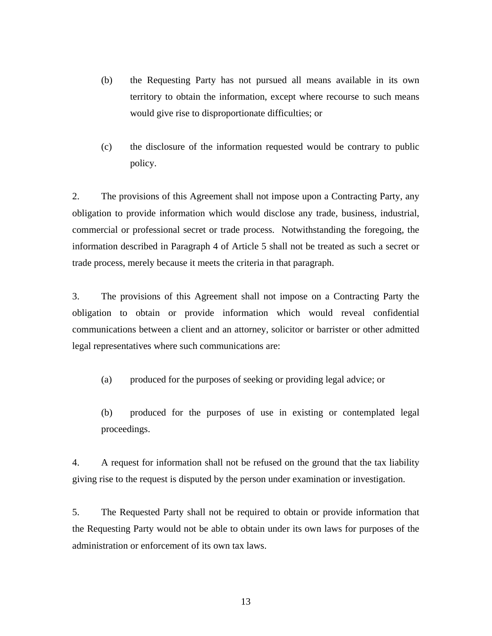- (b) the Requesting Party has not pursued all means available in its own territory to obtain the information, except where recourse to such means would give rise to disproportionate difficulties; or
- (c) the disclosure of the information requested would be contrary to public policy.

2. The provisions of this Agreement shall not impose upon a Contracting Party, any obligation to provide information which would disclose any trade, business, industrial, commercial or professional secret or trade process. Notwithstanding the foregoing, the information described in Paragraph 4 of Article 5 shall not be treated as such a secret or trade process, merely because it meets the criteria in that paragraph.

3. The provisions of this Agreement shall not impose on a Contracting Party the obligation to obtain or provide information which would reveal confidential communications between a client and an attorney, solicitor or barrister or other admitted legal representatives where such communications are:

(a) produced for the purposes of seeking or providing legal advice; or

(b) produced for the purposes of use in existing or contemplated legal proceedings.

4. A request for information shall not be refused on the ground that the tax liability giving rise to the request is disputed by the person under examination or investigation.

5. The Requested Party shall not be required to obtain or provide information that the Requesting Party would not be able to obtain under its own laws for purposes of the administration or enforcement of its own tax laws.

13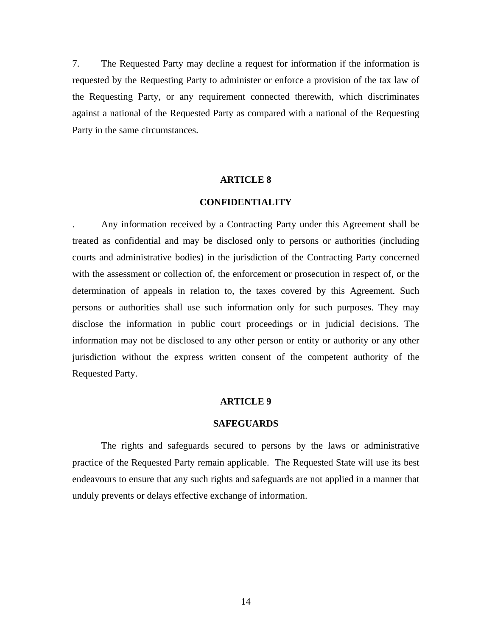7. The Requested Party may decline a request for information if the information is requested by the Requesting Party to administer or enforce a provision of the tax law of the Requesting Party, or any requirement connected therewith, which discriminates against a national of the Requested Party as compared with a national of the Requesting Party in the same circumstances.

#### **ARTICLE 8**

#### **CONFIDENTIALITY**

. Any information received by a Contracting Party under this Agreement shall be treated as confidential and may be disclosed only to persons or authorities (including courts and administrative bodies) in the jurisdiction of the Contracting Party concerned with the assessment or collection of, the enforcement or prosecution in respect of, or the determination of appeals in relation to, the taxes covered by this Agreement. Such persons or authorities shall use such information only for such purposes. They may disclose the information in public court proceedings or in judicial decisions. The information may not be disclosed to any other person or entity or authority or any other jurisdiction without the express written consent of the competent authority of the Requested Party.

#### **ARTICLE 9**

#### **SAFEGUARDS**

 The rights and safeguards secured to persons by the laws or administrative practice of the Requested Party remain applicable. The Requested State will use its best endeavours to ensure that any such rights and safeguards are not applied in a manner that unduly prevents or delays effective exchange of information.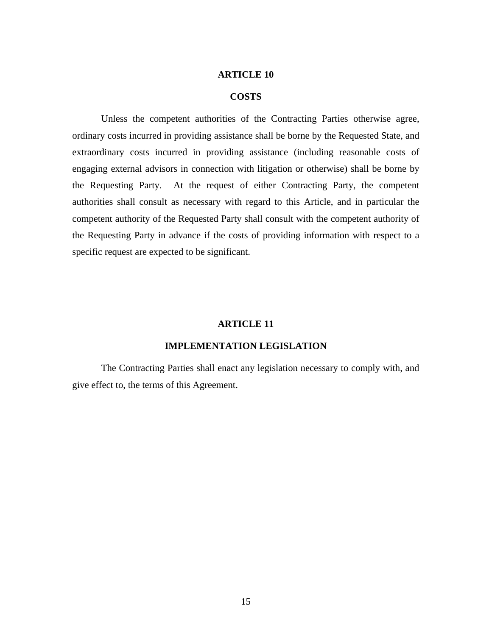#### **COSTS**

Unless the competent authorities of the Contracting Parties otherwise agree, ordinary costs incurred in providing assistance shall be borne by the Requested State, and extraordinary costs incurred in providing assistance (including reasonable costs of engaging external advisors in connection with litigation or otherwise) shall be borne by the Requesting Party. At the request of either Contracting Party, the competent authorities shall consult as necessary with regard to this Article, and in particular the competent authority of the Requested Party shall consult with the competent authority of the Requesting Party in advance if the costs of providing information with respect to a specific request are expected to be significant.

#### **ARTICLE 11**

# **IMPLEMENTATION LEGISLATION**

 The Contracting Parties shall enact any legislation necessary to comply with, and give effect to, the terms of this Agreement.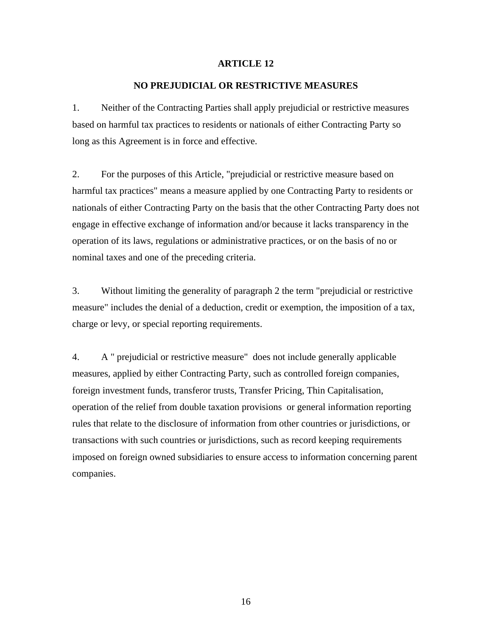## **NO PREJUDICIAL OR RESTRICTIVE MEASURES**

1. Neither of the Contracting Parties shall apply prejudicial or restrictive measures based on harmful tax practices to residents or nationals of either Contracting Party so long as this Agreement is in force and effective.

2. For the purposes of this Article, "prejudicial or restrictive measure based on harmful tax practices" means a measure applied by one Contracting Party to residents or nationals of either Contracting Party on the basis that the other Contracting Party does not engage in effective exchange of information and/or because it lacks transparency in the operation of its laws, regulations or administrative practices, or on the basis of no or nominal taxes and one of the preceding criteria.

3. Without limiting the generality of paragraph 2 the term "prejudicial or restrictive measure" includes the denial of a deduction, credit or exemption, the imposition of a tax, charge or levy, or special reporting requirements.

4. A " prejudicial or restrictive measure" does not include generally applicable measures, applied by either Contracting Party, such as controlled foreign companies, foreign investment funds, transferor trusts, Transfer Pricing, Thin Capitalisation, operation of the relief from double taxation provisions or general information reporting rules that relate to the disclosure of information from other countries or jurisdictions, or transactions with such countries or jurisdictions, such as record keeping requirements imposed on foreign owned subsidiaries to ensure access to information concerning parent companies.

16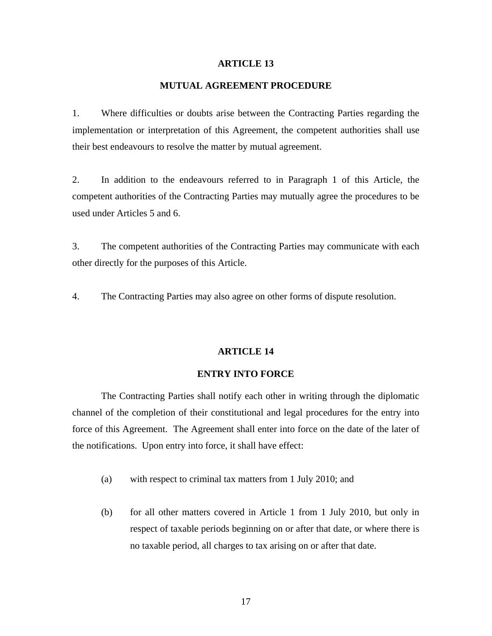# **MUTUAL AGREEMENT PROCEDURE**

1. Where difficulties or doubts arise between the Contracting Parties regarding the implementation or interpretation of this Agreement, the competent authorities shall use their best endeavours to resolve the matter by mutual agreement.

2. In addition to the endeavours referred to in Paragraph 1 of this Article, the competent authorities of the Contracting Parties may mutually agree the procedures to be used under Articles 5 and 6.

3. The competent authorities of the Contracting Parties may communicate with each other directly for the purposes of this Article.

4. The Contracting Parties may also agree on other forms of dispute resolution.

#### **ARTICLE 14**

#### **ENTRY INTO FORCE**

The Contracting Parties shall notify each other in writing through the diplomatic channel of the completion of their constitutional and legal procedures for the entry into force of this Agreement. The Agreement shall enter into force on the date of the later of the notifications. Upon entry into force, it shall have effect:

- (a) with respect to criminal tax matters from 1 July 2010; and
- (b) for all other matters covered in Article 1 from 1 July 2010, but only in respect of taxable periods beginning on or after that date, or where there is no taxable period, all charges to tax arising on or after that date.